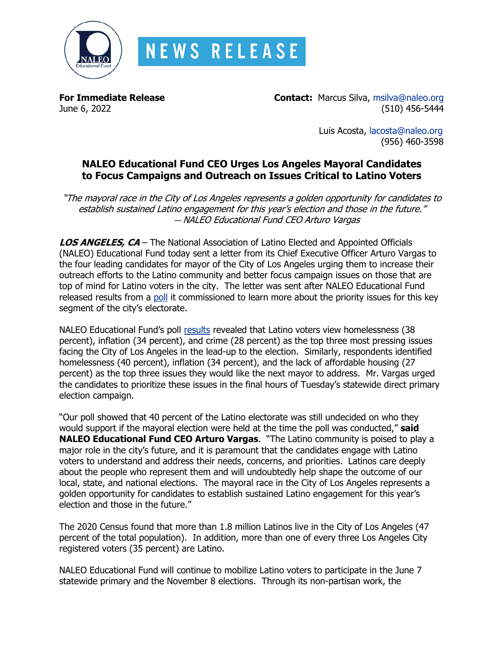

**For Immediate Release Contact:** Marcus Silva, [msilva@naleo.org](mailto:msilva@naleo.org) June 6, 2022 (510) 456-5444

> Luis Acosta, [lacosta@naleo.org](mailto:lacosta@naleo.org) (956) 460-3598

## **NALEO Educational Fund CEO Urges Los Angeles Mayoral Candidates to Focus Campaigns and Outreach on Issues Critical to Latino Voters**

"The mayoral race in the City of Los Angeles represents a golden opportunity for candidates to establish sustained Latino engagement for this year's election and those in the future." — NALEO Educational Fund CEO Arturo Vargas

**LOS ANGELES, CA** – The National Association of Latino Elected and Appointed Officials (NALEO) Educational Fund today sent a letter from its Chief Executive Officer Arturo Vargas to the four leading candidates for mayor of the City of Los Angeles urging them to increase their outreach efforts to the Latino community and better focus campaign issues on those that are top of mind for Latino voters in the city. The letter was sent after NALEO Educational Fund released results from a [poll](https://naleo.org/wp-content/uploads/2022/05/5_16_22_-_NEF_Release_-_LA_Voter_Snapshot_Data_Release_Final.pdf) it commissioned to learn more about the priority issues for this key segment of the city's electorate.

NALEO Educational Fund's poll [results](https://naleo.org/wp-content/uploads/2022/05/5_16_22_-_NEF_Release_-_LA_Voter_Snapshot_Data_Release_Final.pdf) revealed that Latino voters view homelessness (38 percent), inflation (34 percent), and crime (28 percent) as the top three most pressing issues facing the City of Los Angeles in the lead-up to the election. Similarly, respondents identified homelessness (40 percent), inflation (34 percent), and the lack of affordable housing (27 percent) as the top three issues they would like the next mayor to address. Mr. Vargas urged the candidates to prioritize these issues in the final hours of Tuesday's statewide direct primary election campaign.

"Our poll showed that 40 percent of the Latino electorate was still undecided on who they would support if the mayoral election were held at the time the poll was conducted," **said NALEO Educational Fund CEO Arturo Vargas**. "The Latino community is poised to play a major role in the city's future, and it is paramount that the candidates engage with Latino voters to understand and address their needs, concerns, and priorities. Latinos care deeply about the people who represent them and will undoubtedly help shape the outcome of our local, state, and national elections. The mayoral race in the City of Los Angeles represents a golden opportunity for candidates to establish sustained Latino engagement for this year's election and those in the future."

The 2020 Census found that more than 1.8 million Latinos live in the City of Los Angeles (47 percent of the total population). In addition, more than one of every three Los Angeles City registered voters (35 percent) are Latino.

NALEO Educational Fund will continue to mobilize Latino voters to participate in the June 7 statewide primary and the November 8 elections. Through its non-partisan work, the